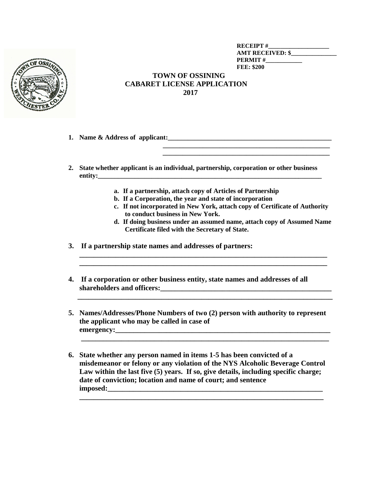

**RECEIPT #\_\_\_\_\_\_\_\_\_\_\_\_\_\_\_\_\_\_\_\_ AMT RECEIVED: \$\_\_\_\_\_\_\_\_\_\_\_\_\_\_\_ PERMIT #\_\_\_\_\_\_\_\_\_\_\_\_ FEE: \$200**

## **TOWN OF OSSINING CABARET LICENSE APPLICATION 2017**

- **1. Name & Address of applicant:\_\_\_\_\_\_\_\_\_\_\_\_\_\_\_\_\_\_\_\_\_\_\_\_\_\_\_\_\_\_\_\_\_\_\_\_\_\_\_\_\_\_\_\_\_\_\_\_\_**
- **2. State whether applicant is an individual, partnership, corporation or other business entity:\_\_\_\_\_\_\_\_\_\_\_\_\_\_\_\_\_\_\_\_\_\_\_\_\_\_\_\_\_\_\_\_\_\_\_\_\_\_\_\_\_\_\_\_\_\_\_\_\_\_\_\_\_\_\_\_\_\_\_\_\_\_\_\_\_\_\_**

 **\_\_\_\_\_\_\_\_\_\_\_\_\_\_\_\_\_\_\_\_\_\_\_\_\_\_\_\_\_\_\_\_\_\_\_\_\_\_\_\_\_\_\_\_\_\_\_\_\_\_** 

- **a. If a partnership, attach copy of Articles of Partnership**
- **b. If a Corporation, the year and state of incorporation**
- **c. If not incorporated in New York, attach copy of Certificate of Authority to conduct business in New York.**
- **d. If doing business under an assumed name, attach copy of Assumed Name Certificate filed with the Secretary of State.**
- **3. If a partnership state names and addresses of partners:**
- **4. If a corporation or other business entity, state names and addresses of all shareholders and officers:**
- **5. Names/Addresses/Phone Numbers of two (2) person with authority to represent the applicant who may be called in case of**  emergency:

 **\_\_\_\_\_\_\_\_\_\_\_\_\_\_\_\_\_\_\_\_\_\_\_\_\_\_\_\_\_\_\_\_\_\_\_\_\_\_\_\_\_\_\_\_\_\_\_\_\_\_\_\_\_\_\_\_\_\_\_\_\_\_\_\_\_\_\_\_**

 **\_\_\_\_\_\_\_\_\_\_\_\_\_\_\_\_\_\_\_\_\_\_\_\_\_\_\_\_\_\_\_\_\_\_\_\_\_\_\_\_\_\_\_\_\_\_\_\_\_\_\_\_\_\_\_\_\_\_\_\_\_\_\_\_\_\_\_\_\_\_**

**\_\_\_\_\_\_\_\_\_\_\_\_\_\_\_\_\_\_\_\_\_\_\_\_\_\_\_\_\_\_\_\_\_\_\_\_\_\_\_\_\_\_\_\_\_\_\_\_\_\_\_\_\_\_\_\_\_\_\_\_\_\_\_\_\_\_\_\_ \_\_\_\_\_\_\_\_\_\_\_\_\_\_\_\_\_\_\_\_\_\_\_\_\_\_\_\_\_\_\_\_\_\_\_\_\_\_\_\_\_\_\_\_\_\_\_\_\_\_\_\_\_\_\_\_\_\_\_\_\_\_\_\_\_\_\_\_**

**6. State whether any person named in items 1-5 has been convicted of a misdemeanor or felony or any violation of the NYS Alcoholic Beverage Control Law within the last five (5) years. If so, give details, including specific charge; date of conviction; location and name of court; and sentence imposed:\_\_\_\_\_\_\_\_\_\_\_\_\_\_\_\_\_\_\_\_\_\_\_\_\_\_\_\_\_\_\_\_\_\_\_\_\_\_\_\_\_\_\_\_\_\_\_\_\_\_\_\_\_\_\_\_\_\_\_**

**\_\_\_\_\_\_\_\_\_\_\_\_\_\_\_\_\_\_\_\_\_\_\_\_\_\_\_\_\_\_\_\_\_\_\_\_\_\_\_\_\_\_\_\_\_\_\_\_\_\_\_\_\_\_\_\_\_\_\_\_\_\_\_\_\_\_\_**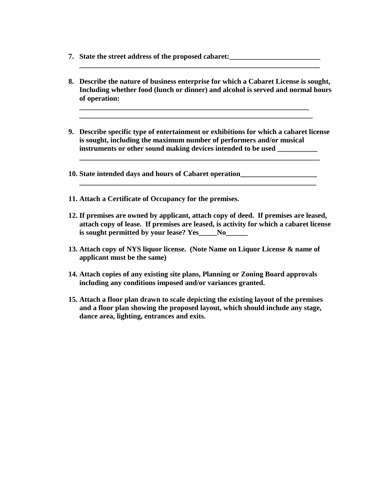- **7. State the street address of the proposed cabaret:\_\_\_\_\_\_\_\_\_\_\_\_\_\_\_\_\_\_\_\_\_\_\_\_\_**
- **8. Describe the nature of business enterprise for which a Cabaret License is sought, Including whether food (lunch or dinner) and alcohol is served and normal hours of operation:**

**\_\_\_\_\_\_\_\_\_\_\_\_\_\_\_\_\_\_\_\_\_\_\_\_\_\_\_\_\_\_\_\_\_\_\_\_\_\_\_\_\_\_\_\_\_\_\_\_\_\_\_\_\_\_\_\_\_\_\_\_\_\_\_**

 **\_\_\_\_\_\_\_\_\_\_\_\_\_\_\_\_\_\_\_\_\_\_\_\_\_\_\_\_\_\_\_\_\_\_\_\_\_\_\_\_\_\_\_\_\_\_\_\_\_\_\_\_\_\_\_\_\_\_\_\_\_\_\_\_**

**\_\_\_\_\_\_\_\_\_\_\_\_\_\_\_\_\_\_\_\_\_\_\_\_\_\_\_\_\_\_\_\_\_\_\_\_\_\_\_\_\_\_\_\_\_\_\_\_\_\_\_\_\_\_\_\_\_\_\_\_\_\_\_\_\_\_**

- **9. Describe specific type of entertainment or exhibitions for which a cabaret license is sought, including the maximum number of performers and/or musical instruments or other sound making devices intended to be used \_\_\_\_\_\_\_\_\_\_\_**
- **10. State intended days and hours of Cabaret operation\_\_\_\_\_\_\_\_\_\_\_\_\_\_\_\_\_\_\_\_\_**

 **\_\_\_\_\_\_\_\_\_\_\_\_\_\_\_\_\_\_\_\_\_\_\_\_\_\_\_\_\_\_\_\_\_\_\_\_\_\_\_\_\_\_\_\_\_\_\_\_\_\_\_\_\_\_\_\_\_\_\_\_\_\_\_\_\_\_**

- **11. Attach a Certificate of Occupancy for the premises.**
- **12. If premises are owned by applicant, attach copy of deed. If premises are leased, attach copy of lease. If premises are leased, is activity for which a cabaret license is sought permitted by your lease? Yes\_\_\_\_\_No\_\_\_\_\_\_**

**\_\_\_\_\_\_\_\_\_\_\_\_\_\_\_\_\_\_\_\_\_\_\_\_\_\_\_\_\_\_\_\_\_\_\_\_\_\_\_\_\_\_\_\_\_\_\_\_\_\_\_\_\_\_\_\_\_\_\_\_\_\_\_\_\_**

- **13. Attach copy of NYS liquor license. (Note Name on Liquor License & name of applicant must be the same)**
- **14. Attach copies of any existing site plans, Planning or Zoning Board approvals including any conditions imposed and/or variances granted.**
- **15. Attach a floor plan drawn to scale depicting the existing layout of the premises and a floor plan showing the proposed layout, which should include any stage, dance area, lighting, entrances and exits.**